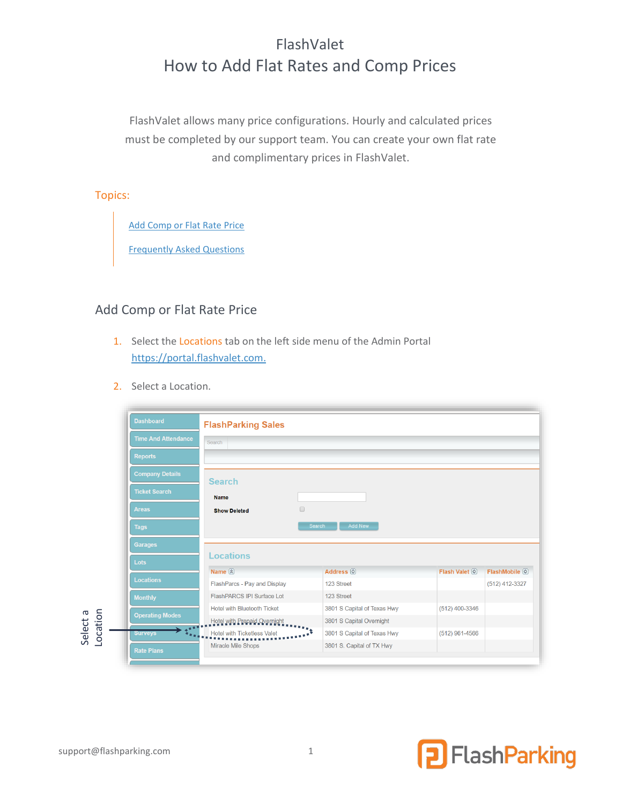# FlashValet How to Add Flat Rates and Comp Prices

FlashValet allows many price configurations. Hourly and calculated prices must be completed by our support team. You can create your own flat rate and complimentary prices in FlashValet.

## Topics:

Add [Comp or Flat Rate Price](#page-0-0)

[Frequently Asked Questions](#page-3-0)

# <span id="page-0-0"></span>Add Comp or Flat Rate Price

- 1. Select the Locations tab on the left side menu of the Admin Portal [https://portal.flashvalet.com.](https://portal.flashvalet.com/)
- 2. Select a Location.

| <b>Dashboard</b>           | <b>FlashParking Sales</b>                   |                                 |                |                 |
|----------------------------|---------------------------------------------|---------------------------------|----------------|-----------------|
| <b>Time And Attendance</b> | Search                                      |                                 |                |                 |
| <b>Reports</b>             |                                             |                                 |                |                 |
| <b>Company Details</b>     |                                             |                                 |                |                 |
| <b>Ticket Search</b>       | <b>Search</b><br><b>Name</b>                |                                 |                |                 |
| <b>Areas</b>               | $\qquad \qquad \Box$<br><b>Show Deleted</b> |                                 |                |                 |
|                            |                                             |                                 |                |                 |
| <b>Tags</b>                |                                             | <b>Add New</b><br><b>Search</b> |                |                 |
| <b>Garages</b>             |                                             |                                 |                |                 |
|                            | <b>Locations</b>                            |                                 |                |                 |
| Lots                       | Name 2                                      | Address <sup>(c)</sup>          | Flash Valet 2  | FlashMobile (9) |
| <b>Locations</b>           | FlashParcs - Pay and Display                | 123 Street                      |                | (512) 412-3327  |
| <b>Monthly</b>             | FlashPARCS IPI Surface Lot                  | 123 Street                      |                |                 |
|                            | <b>Hotel with Bluetooth Ticket</b>          | 3801 S Capital of Texas Hwy     | (512) 400-3346 |                 |
| <b>Operating Modes</b>     | Hotel with Prepaid Overnight                | 3801 S Capital Overnight        |                |                 |
| 一生的<br><b>Surveys</b>      | <b>Hotel with Ticketless Valet</b>          | 3801 S Capital of Texas Hwy     | (512) 961-4566 |                 |

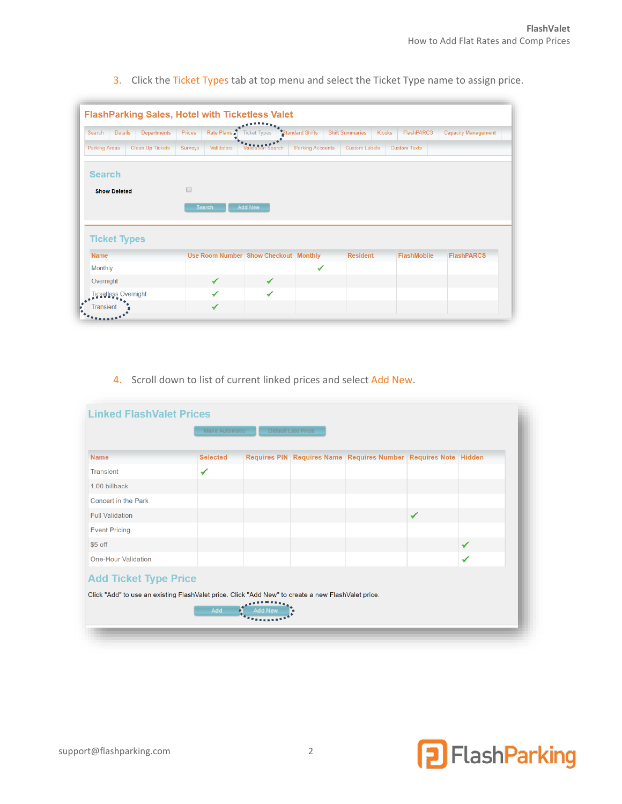| <b>Details</b><br>Search                                                                         | <b>Departments</b>      | Prices         | Rate Plans        | <b>Ticket Types</b>                   | *Standard Shifts        | <b>Shift Summaries</b> | <b>Kiosks</b> | <b>FlashPARCS</b>   | <b>Capacity Management</b> |
|--------------------------------------------------------------------------------------------------|-------------------------|----------------|-------------------|---------------------------------------|-------------------------|------------------------|---------------|---------------------|----------------------------|
| <b>Parking Areas</b>                                                                             | <b>Clean Up Tickets</b> | <b>Surveys</b> | <b>Validators</b> | <b>Validation Search</b>              | <b>Parking Accounts</b> | <b>Custom Labels</b>   |               | <b>Custom Texts</b> |                            |
| <b>Search</b>                                                                                    |                         |                |                   |                                       |                         |                        |               |                     |                            |
| <b>Show Deleted</b>                                                                              |                         | $\Box$         |                   |                                       |                         |                        |               |                     |                            |
|                                                                                                  |                         |                |                   |                                       |                         |                        |               |                     |                            |
|                                                                                                  |                         | <b>Search</b>  |                   | <b>Add New</b>                        |                         |                        |               |                     |                            |
|                                                                                                  |                         |                |                   |                                       |                         |                        |               |                     |                            |
|                                                                                                  |                         |                |                   |                                       |                         |                        |               |                     |                            |
|                                                                                                  |                         |                |                   |                                       |                         |                        |               |                     |                            |
|                                                                                                  |                         |                |                   | Use Room Number Show Checkout Monthly |                         | <b>Resident</b>        |               | <b>FlashMobile</b>  | <b>FlashPARCS</b>          |
|                                                                                                  |                         |                |                   | ✓                                     | ✔                       |                        |               |                     |                            |
| <b>Ticket Types</b><br><b>Name</b><br><b>Monthly</b><br>Overnight<br><b>Ticketless Overnight</b> |                         |                | ✓                 | ✓                                     |                         |                        |               |                     |                            |

3. Click the Ticket Types tab at top menu and select the Ticket Type name to assign price.

## 4. Scroll down to list of current linked prices and select Add New.

| <b>Linked FlashValet Prices</b>                                                                                                    |                                      |  |  |                                                                 |              |   |  |  |
|------------------------------------------------------------------------------------------------------------------------------------|--------------------------------------|--|--|-----------------------------------------------------------------|--------------|---|--|--|
|                                                                                                                                    | Make Automatic<br>Default Late Price |  |  |                                                                 |              |   |  |  |
| <b>Name</b>                                                                                                                        | <b>Selected</b>                      |  |  | Requires PIN Requires Name Requires Number Requires Note Hidden |              |   |  |  |
| <b>Transient</b>                                                                                                                   | ✔                                    |  |  |                                                                 |              |   |  |  |
| 1.00 billback                                                                                                                      |                                      |  |  |                                                                 |              |   |  |  |
| <b>Concert in the Park</b>                                                                                                         |                                      |  |  |                                                                 |              |   |  |  |
| <b>Full Validation</b>                                                                                                             |                                      |  |  |                                                                 | $\checkmark$ |   |  |  |
| <b>Event Pricing</b>                                                                                                               |                                      |  |  |                                                                 |              |   |  |  |
| $$5$ off                                                                                                                           |                                      |  |  |                                                                 |              | ✔ |  |  |
| <b>One-Hour Validation</b>                                                                                                         |                                      |  |  |                                                                 |              | ✓ |  |  |
| <b>Add Ticket Type Price</b><br>Click "Add" to use an existing FlashValet price. Click "Add New" to create a new FlashValet price. | Add                                  |  |  |                                                                 |              |   |  |  |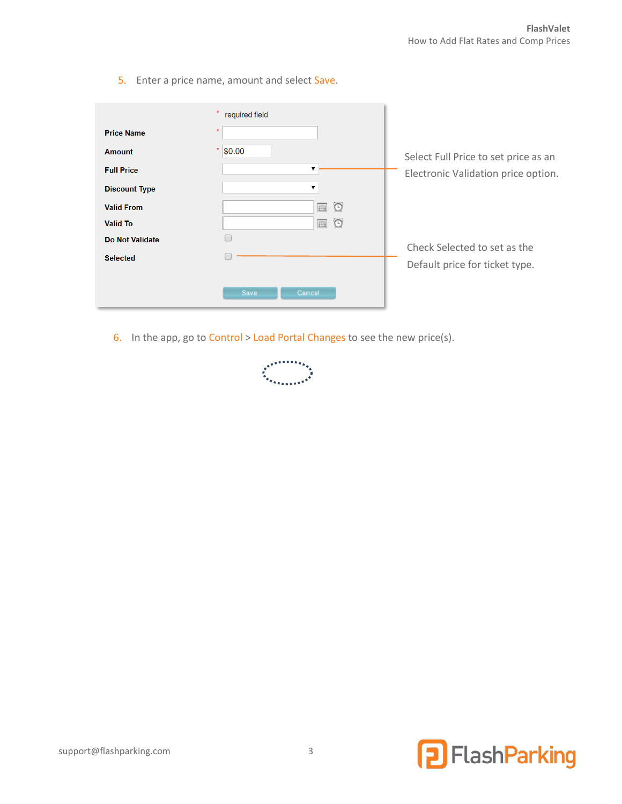5. Enter a price name, amount and select Save.

|                        | required field          |                                      |
|------------------------|-------------------------|--------------------------------------|
| <b>Price Name</b>      | $\star$                 |                                      |
| <b>Amount</b>          | $\star$<br>\$0.00       | Select Full Price to set price as an |
| <b>Full Price</b>      | ▼                       | Electronic Validation price option.  |
| <b>Discount Type</b>   | $\overline{\mathbf{v}}$ |                                      |
| <b>Valid From</b>      | $\circ$<br>圃            |                                      |
| <b>Valid To</b>        | $\circ$<br>圃            |                                      |
| <b>Do Not Validate</b> |                         | Check Selected to set as the         |
| <b>Selected</b>        |                         | Default price for ticket type.       |
|                        | Save<br>Cancel          |                                      |

6. In the app, go to Control > Load Portal Changes to see the new price(s).